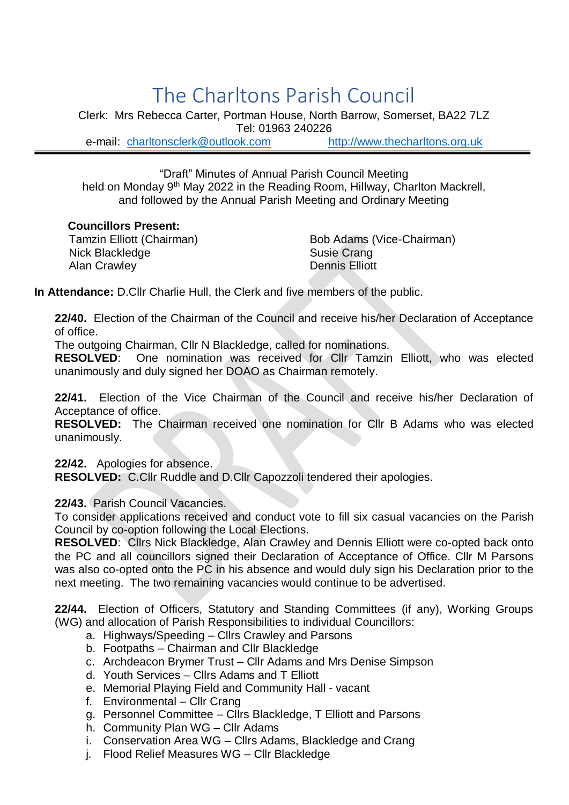## The Charltons Parish Council

Clerk: Mrs Rebecca Carter, Portman House, North Barrow, Somerset, BA22 7LZ Tel: 01963 240226 e-mail: [charltonsclerk@outlook.com](mailto:charltonsclerk@outlook.com) [http://www.thecharltons.org.uk](http://www.thecharltons.org.uk/)

"Draft" Minutes of Annual Parish Council Meeting held on Monday 9<sup>th</sup> May 2022 in the Reading Room, Hillway, Charlton Mackrell, and followed by the Annual Parish Meeting and Ordinary Meeting

## **Councillors Present:**

Nick Blackledge Susie Crang Alan Crawley **Dennis Elliott** 

Tamzin Elliott (Chairman) Bob Adams (Vice-Chairman)

**In Attendance:** D.Cllr Charlie Hull, the Clerk and five members of the public.

**22/40.** Election of the Chairman of the Council and receive his/her Declaration of Acceptance of office.

The outgoing Chairman, Cllr N Blackledge, called for nominations.

**RESOLVED**: One nomination was received for Cllr Tamzin Elliott, who was elected unanimously and duly signed her DOAO as Chairman remotely.

**22/41.** Election of the Vice Chairman of the Council and receive his/her Declaration of Acceptance of office.

**RESOLVED:** The Chairman received one nomination for Cllr B Adams who was elected unanimously.

**22/42.** Apologies for absence.

**RESOLVED:** C.Cllr Ruddle and D.Cllr Capozzoli tendered their apologies.

**22/43.** Parish Council Vacancies.

To consider applications received and conduct vote to fill six casual vacancies on the Parish Council by co-option following the Local Elections.

**RESOLVED**: Cllrs Nick Blackledge, Alan Crawley and Dennis Elliott were co-opted back onto the PC and all councillors signed their Declaration of Acceptance of Office. Cllr M Parsons was also co-opted onto the PC in his absence and would duly sign his Declaration prior to the next meeting. The two remaining vacancies would continue to be advertised.

**22/44.** Election of Officers, Statutory and Standing Committees (if any), Working Groups (WG) and allocation of Parish Responsibilities to individual Councillors:

- a. Highways/Speeding Cllrs Crawley and Parsons
- b. Footpaths Chairman and Cllr Blackledge
- c. Archdeacon Brymer Trust Cllr Adams and Mrs Denise Simpson
- d. Youth Services Cllrs Adams and T Elliott
- e. Memorial Playing Field and Community Hall vacant
- f. Environmental Cllr Crang
- g. Personnel Committee Cllrs Blackledge, T Elliott and Parsons
- h. Community Plan WG Cllr Adams
- i. Conservation Area WG Cllrs Adams, Blackledge and Crang
- j. Flood Relief Measures WG Cllr Blackledge